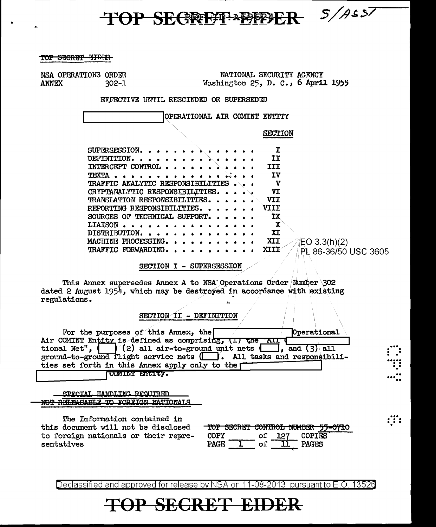$85/14557$ **TOP SECRETT APPPET** 

TOP SECRET EIDER

NSA OPERATIONS ORDER **ANNEX**  $302 - 1$ 

NATIONAL SECURITY AGENCY Washington  $25$ , D. C., 6 April 1955

EFFECTIVE UNTIL RESCINDED OR SUPERSEDED

OPERATIONAL AIR COMINT ENTITY

**SECTION** 

| SUPERSESSION. $\cdots$ $\cdots$ $\cdots$ |              |  |  |  |  |  |  |  |             |                      |  |
|------------------------------------------|--------------|--|--|--|--|--|--|--|-------------|----------------------|--|
| DEFINITION.                              |              |  |  |  |  |  |  |  | ΙT          |                      |  |
| INTERCEPT CONTROL                        |              |  |  |  |  |  |  |  | TIT         |                      |  |
| TEXTA                                    |              |  |  |  |  |  |  |  | ΙV          |                      |  |
| TRAFFIC ANALYTIC RESPONSIBILITIES        |              |  |  |  |  |  |  |  | v           |                      |  |
| CRYPTANALYTIC RESPONSIBILITIES.          |              |  |  |  |  |  |  |  | VΤ          |                      |  |
| TRANSLATION RESPONSIBILITIES.            |              |  |  |  |  |  |  |  | VII         |                      |  |
| REPORTING RESPONSIBILITIES.              |              |  |  |  |  |  |  |  | <b>VIII</b> |                      |  |
| SOURCES OF TECHNICAL SUPPORT.            |              |  |  |  |  |  |  |  | ТX          |                      |  |
| <b>LIATSON</b>                           | . <b>.</b> . |  |  |  |  |  |  |  | X           |                      |  |
| DISTRIBUTION.                            |              |  |  |  |  |  |  |  | XI          |                      |  |
| MACHINE PROCESSING.                      |              |  |  |  |  |  |  |  | XII         | EO 3.3(h)(2)         |  |
| TRAFFIC FORWARDING.                      |              |  |  |  |  |  |  |  | XIII        | PL 86-36/50 USC 3605 |  |
|                                          |              |  |  |  |  |  |  |  |             |                      |  |

SECTION I - SUPERSESSION

This Annex supersedes Annex A to NSA Operations Order Number 302 dated 2 August 1954, which may be destroyed in accordance with existing regulations.

SECTION II - DEFINITION

For the purposes of this Annex, the Operational Air COMINT Entity is defined as comprising, (1) the All  $\frac{1}{2}$  and (3) all ground-to-ground flight service nets ( $\Box$ ). All tasks and responsibilities set forth in this Annex apply only to the [ CUMINT ENTITY.

SPECIAL HANDLING REQUIRED NOT RELEASABLE TO FORETCN NATIONALS

The Information contained in this document will not be disclosed to foreign nationals or their representatives

|             |     |     |               | TOP SECRET CONTROL NUMBER 55-0710 |
|-------------|-----|-----|---------------|-----------------------------------|
| <b>COPY</b> | O1. | 127 | <b>COPIES</b> |                                   |
| <b>PAGE</b> |     |     | <b>PAGES</b>  |                                   |

∷∷

Declassified and approved for release by NSA on 11-08-2013 pursuant to E.O. 13526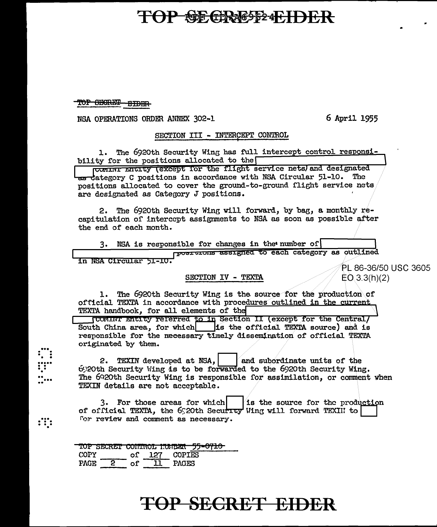### **TOP SECRESS FHDER**

TOP SECRET EIDER

 $\frac{1}{1}$ 

 $\mathbf{:::}$ 

NSA OPERATIONS ORDER ANNEX 302-1

6 April 1955

#### SECTION III - INTERCEPT CONTROL

The 6920th Security Wing has full intercept control responsi-1. bility for the positions allocated to the

COMINT ENCITY (EXCEPT for the flight service nets) and designated <del>as d</del>ategory C positions in accordance with NSA Circular 51-10. The positions allocated to cover the ground-to-ground flight service nets are designated as Category J positions.

2. The 6920th Security Wing will forward, by bag, a monthly recapitulation of intercept assignments to NSA as soon as possible after the end of each month.

3. NSA is responsible for changes in the number of roost crons assigned to each category as outlined in NSA Circular 51-10.

#### SECTION IV - TEXTA

PL 86-36/50 USC 3605  $EO(3.3(h)(2)$ 

1. The 6920th Security Wing is the source for the production of official TEXTA in accordance with procedures outlined in the current TEXTA handbook, for all elements of the

**JUCTAINT ENTITY referred to in Section II (except for the Central/** South China area, for which is the official TEXTA source) and is responsible for the necessary timely dissemination of official TEXTA originated by them.

2. TEXIN developed at NSA, and subordinate units of the 6020th Security Wing is to be forwarded to the 6020th Security Wing. The 6920th Security Wing is responsible for assimilation, or comment when TEXIN details are not acceptable.

3. For those areas for which is the source for the production of official TEXTA, the 6920th Security Wing will forward TEXIII to for review and comment as necessary.

TOP SECRET CONTROL KUNBER 55-0710 COPY of 127 COPIES  $\overline{2}$ PAGES **PAGE** of <u>11</u>

### <del>TOP SECRET EIDER</del>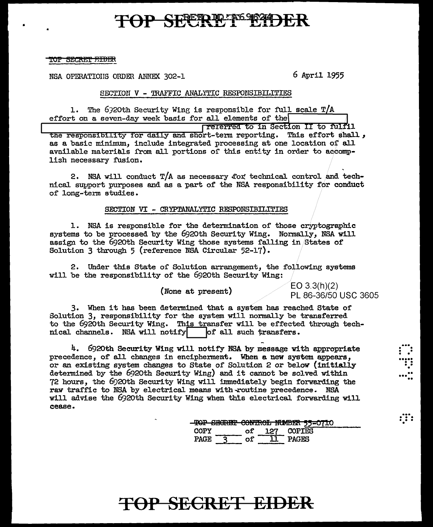### **P SEPERIDENSION**

TOP SECRET FIDER

•

NSA OPERATIONS ORDER ANNEX 302-1 6 April 1955

### SECTION V - 'IRAFFIC ANALYTIC RESPONSIBILITIES

1. The 6920th Security Wing is responsible for full scale  $T/A$ effort on a seven-day week basis for all elements of the effort on a seven-day week basis for all elements of the

the responsibility for daily and short-term reporting. This effort shall, as a basic minimum, include integrated processing at one location of all available materials from all portions of this entity in order to accomplish necessary fusion.

2. NSA will conduct  $T/A$  as necessary for technical control and technical support purposes and as a part of the NSA responsibility for conduct of long-term studies.

### SECTION VI - CRYPTANALYTIC RESPOMSIBILITIES

1. NSA is responsible for the determination of those cryptographic systems to be processed by the 6920th Security Wing. Normally, NSA will assign to the 6920th Security Wing those systems falling in States of Solution 3 through 5 (reference NSA Circular 52-17).

2. Under this State of Solution arrangement, the following systems will be the responsibility of the 692oth Security Wing:

(None at present)  $\angle$  EO 3.3(h)(2) PL 86-36/50 USC 3605

 $\vdots$  .

...<br>....<br>...<br>... .. ... ..

. .. . . . . . . .

3. When it has been determined that a system has reached State of Solution 3, responsibility for the system will normally be transferred to the 6920th Security Wing. This transfer will be effected through technical channels. NSA will notify  $\vert$  of all such transfers.

4. 6920th Security Wing will notify NSA by message with appropriate precedence, of all changes in encipherment. When a new system appears, or an existing system changes to State of Solution 2 or below (initially determined by the 6920th Security Wing) and it cannot be solved within 72 hours, the 6920th Security Wing will immediately begin forwarding the raw traffic to NSA by electrical means with routine precedence. NSA will advise the 692oth Security Wing when this electrical forwarding will cease.

|      |     | TOP SECRET CONTROL NUMBER 55-0710 |
|------|-----|-----------------------------------|
| COPY | 127 | <b>COPTES</b>                     |
| PAGE |     | PAGES                             |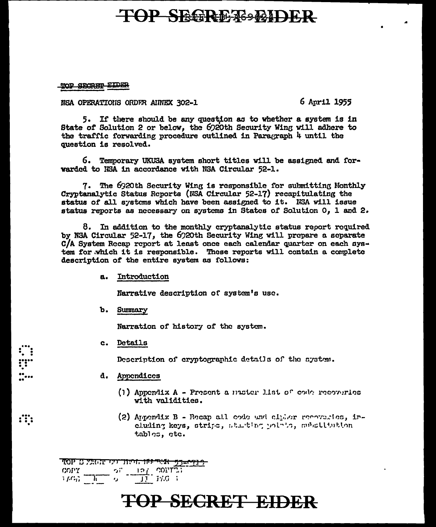### **TOP SEGRETS EIDER**

TOP SECRET EIDER

NSA OPERATIONS ORDER AINEX 302-1

6 April 1955

5. If there should be any question as to whether a system is in State of Solution 2 or below, the 6920th Security Wing will adhere to the traffic forwarding procedure outlined in Paragraph 4 until the question is resolved.

6. Temporary UKUSA system short titles will be assigned and forwarded to NSA in accordance with NSA Circular 52-1.

7. The 6920th Security Wing is responsible for submitting Monthly Cryptanalytic Status Reports (NSA Circular 52-17) recapitulating the status of all systems which have been assigned to it. NSA will issue status reports as necessary on systems in States of Solution 0, 1 and 2.

8. In addition to the monthly cryptanalytic status report required by NSA Circular 52-17, the 6920th Security Wing will prepare a separate C/A System Recap report at least once each calendar quarter on each system for which it is responsible. These reports will contain a complete description of the entire system as follows:

a. Introduction

Narrative description of system's use.

b. Summary

Narration of history of the system.

c. Details

 $\mathbf{ii}$ 

Description of cryptographic details of the system.

- d. Appendices
	- (1) Appendix A Present a master list of code recoveries with validities.
	- (2) Appendix B Recap all code und climer recoveries, including keys, strips, starting points, substitution tables, etc.

<del>רנים=75 אליי וחו והונדרט עומל 2 PP.</del>  $\frac{1}{2} \frac{f(G)}{f(G)} = \frac{1}{1!} \frac{2}{1!} \frac{1}{2!} \frac{1}{2!} \frac{f(G)}{1!} = \frac{1}{2} \frac{1}{2!} \frac{f(G)}{1!}$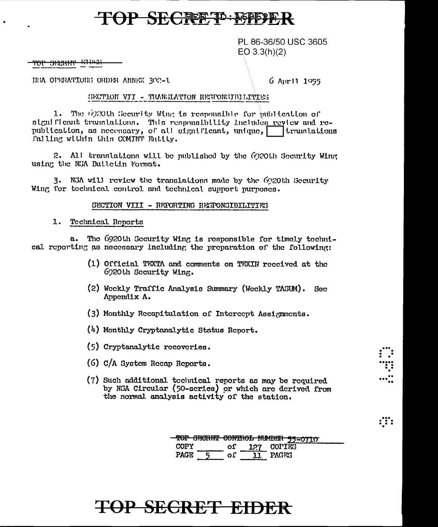### **OP SECRETIO AGPET**

PL 86-36/50 USC 3605  $EO 3.3(h)(2)$ 

<del>ror shekni</del>r

HEA OPERATIONS ORDER ANNEX 302-1.

6 April 1955

#### SECTION VII - TRANSIATION RESPONSIBILITIES

1. The 6920th Security Wing is responsible for publication of significant translations. This responsibility includes review and re-<br>publication, as necessary, of all significant, unique, translations Palling within this COMINT Entity.

2. All translations will be published by the 6020th Security Wing using the NSA Bulletin Format.

3. N3A will review the translations made by the 6920th Security Wing for technical control and technical support purposes.

#### SECTION VIII - REPORTING RESPONSIBILITIES

1. Technical Reports

a. The 6920th Security Wing is responsible for timely technical reporting as necessary including the preparation of the following:

- (1) Official TEXTA and comments on TEXIN received at the 6920th Security Wing.
- (2) Weekly Traffic Analysis Summary (Weekly TASUM). **Sec** Appendix A.
- (3) Monthly Recapitulation of Intercept Assignments.
- (4) Monthly Cryptanalytic Status Report.
- (5) Cryptanalytic recoveries.
- (6) C/A System Recap Reports.
- (7) Such additional technical reports as may be required by NGA Circular (50-scries) or which are derived from the normal analysis activity of the station.

| <b>MAD CRADING COMMONS WERDEN</b>       |      |              |  |
|-----------------------------------------|------|--------------|--|
| <u>TOI DECHELO ACHITA HOMIDEN JA-UI</u> |      |              |  |
| COPY                                    | of - | 127 COPIES   |  |
| PACE                                    | oΓ   | <b>PACES</b> |  |

 $\ddot{\mathbf{u}}$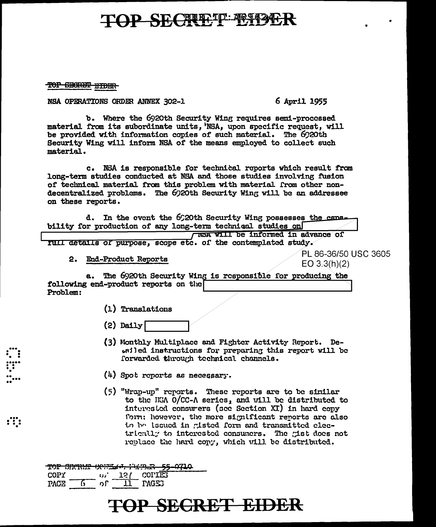### TOP SECRETT TO 1942

TOP SECRET EIDER

NSA OPERATIONS ORDER ANNEX 302-1

6 April 1955

b. Where the 6920th Security Wing requires semi-processed material from its subordinate units, NSA, upon specific request, will be provided with information copies of such material. The 6920th Security Wing will inform NSA of the means employed to collect such material.

c. NSA is responsible for technical reports which result from long-term studies conducted at NSA and those studies involving fusion of technical material from this problem with material from other nondecentralized problems. The 6920th Security Wing will be an addressee on these reports.

d. In the event the 6920th Security Wing possesses the capability for production of any long-term techniqul studies on

TER WILL be informed in advance of TUIL details of purpose, scope etc. of the contemplated study.

2. End-Product Reports

PL 86-36/50 USC 3605  $EO 3.3(h)(2)$ 

The 6920th Security Wing is responsible for producing the  $a.$ following end-product reports on the Problem:

(1) Translations

- $(2)$  Daily
- (3) Monthly Multiplace and Fighter Activity Report. Deesiled instructions for preparing this report will be forwarded through technical channels.
- $(4)$  Spot reports as necessary.
- $(5)$  "Wran-un" reports. These reports are to be similar to the HSA O/CC-A series, and will be distributed to interested consurers (see Section XI) in hard cony form: however, the more significant reports are also to be issued in gisted form and transmitted electrically to interested consumers. The gist does not replace the hard copy, which will be distributed.

<u>TOP SECRET COFFINITIONS - 55-0710</u> **COPY** 127 COPIES ່ເມີ PACE 6 ັດໃ 11 PAGES

 $\mathbf{ii}$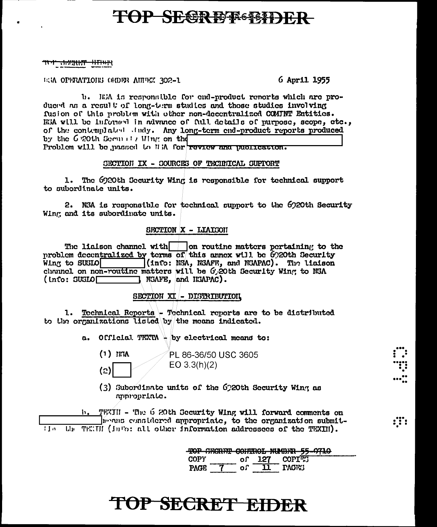### **TOP SEGREEFSTER**

#### <del>יקון געיה ברי</del>ט <del>-\*\*\*\*\*\*\*\*</del>

ESA OPERATIONS ORDER ANNEX 302-1.

6 April 1955

b. It's is responsible for end-product renorts which are produced as a result of long-term studies and those studies involving fusion of this problem with other non-decentralized COMINT Entities. RSA will be informed in advance of full details of purpose, scope, etc., of the contemplated dudy. Any long-term end-product reports produced by the G 20th Security Wing on the Problem will be passed to WiA for review and publication.

### SECTION IX - SOURCES OF TECHNICAL SUPPORT

1. The 6920th Security Wing is responsible for technical support to subordinate units.

2. N3A is responsible for technical support to the 6020th Security Wing and its subordinate units.

### SFCTION X - LIAISON

The liaison channel with  $\Box$  on routine matters pertaining to the problem decentralized by terms of this annex will be 6920th Security Wing to SUSIO (info: NSA, NSAFE, and NSAPAC). The liaison channel on non-routine matters will be G.20th Security Wing to NSA  $\Box$  NGAFE, and HGAPAC).  $($  info: SUSLO $\Gamma$ 

#### SECTION XI - DISTRIBUTION

1. Technical Reports - Technical reports are to be distributed to the organizations listed by the means indicated.

a. Official TEXTA + by electrical means to:

 $(1)$  IEA  $(2)$ 

PL 86-36/50 USC 3605  $EO 3.3(h)(2)$ 

(3) Subordinate units of the 6220th Security Wing as appropriate.

TEXIII - The 6 20th Security Wing will forward comments on  $\mathbf{h}$ . moving considered appropriate, to the organization submit-TENII (info: all other information addressees of the TEXIII). i form Lh.

| TOP SECRET CONTROL NUMBER 55-0710 |    |     |               |  |
|-----------------------------------|----|-----|---------------|--|
| COPY                              | nΓ | 127 | <b>COPIES</b> |  |
| ኮለርፑ                              | nſ |     | <b>PACES</b>  |  |

:T: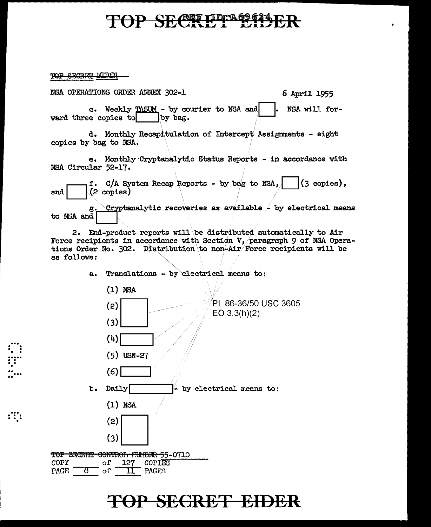### TOP SECRETE B113

TOP SECRET EIDER

...<br>...<br>...<br>..

 $\mathbf{r}$ .<br>....

 $:$   $:$   $:$ 

NSA OPERATIONS ORDER ANNEX 302-1 6 April 1955

c. Weekly  $\underline{\text{MAX}}$  - by courier to NSA and  $\begin{bmatrix} . & \text{NSA} & \text{will for-} \\ . & \text{NSA} & \text{will for-} \end{bmatrix}$ ward three copies to

d. Monthly Recapitulation of Intercept Assignments - eight copies by bag to NSA.

e. Monthly Cryptanalytic Status Reports - in accordance with NSA Circular 52-17.

end  $\begin{bmatrix} \text{f. C/A System Recap Reports - by bag to NSA,} \\ \text{(2 copies)} \end{bmatrix}$ 

g. Cryptanalytic recoveries as available  $\sim$  by electrical means to NSA and  $\vert$ 

2. End-product reports will be distributed automatically to Air Force recipients in accordance with Section V, paragraph 9 of NSA Operations Order No. 302. Distribution to non-Air/Force recipients will be as follows:

a. Translations - by electrical means to:

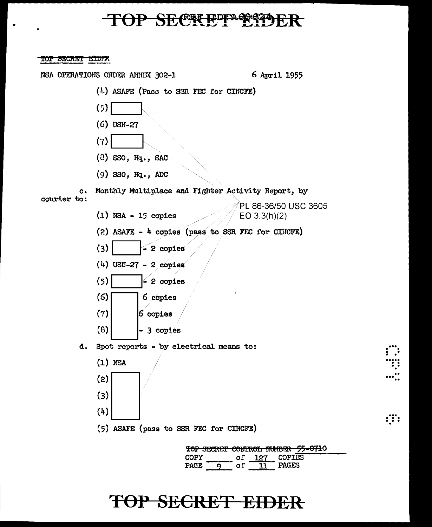### TOP SECREPPARTY

•

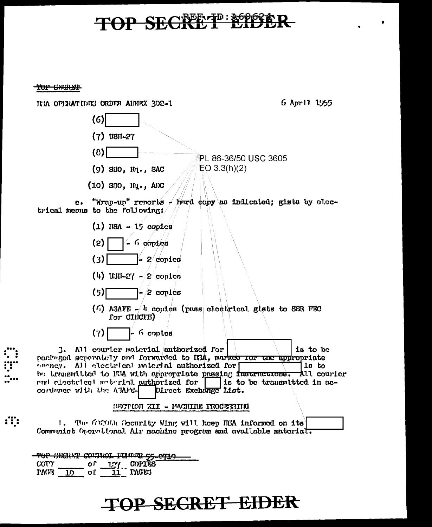## **TOP SECRETE ESPECT**

<del>TOP UNRKT</del>

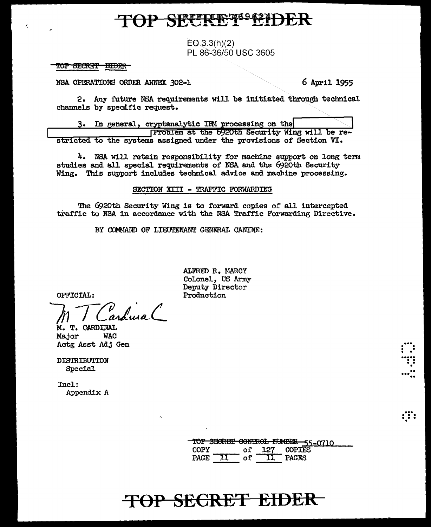$EQ_33(h)(2)$ PL 86-36/50 USC 3605

#### TOP SECRET <u> #IDIR</u>

 $\epsilon$ 

NSA OPERATIONS ORDER ANNEX 302-1

6 April 1955

∷∷

2. Any future NSA requirements will be initiated through technical channels by specific request.

In general, cryptanalytic IBM processing on the з. Froblem at the 6920th Security Wing will be restricted to the systems assigned under the provisions of Section VI.

4. NSA will retain responsibility for machine support on long term studies and all special requirements of NSA and the 6920th Security Wing. This support includes technical advice and machine processing.

#### SECTION XIII - TRAFFIC FORWARDING

The 6920th Security Wing is to forward copies of all intercepted traffic to NSA in accordance with the NSA Traffic Forwarding Directive.

BY COMMAND OF LIEUTENANT GENERAL CANINE:

OFFICIAL:

v<br>ardura (

M. T. CARDINAL Major **WAC** Actg Asst Adj Gen

DISTRIBUTION Special

Incl: Appendix A ALFRED R. MARCY Colonel, US Army Deputy Director Production

#### PAGE 11  $\overline{\phantom{a}}$  of  $\overline{\phantom{a}}$ 11 **PAGES**

оf

TOP SECRET CONTROL NUMBER 55-0710

127

COPIES

### TOP SECRET EIDER

**COPY**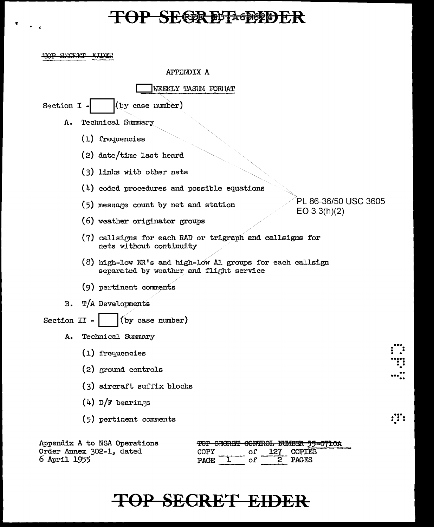### **TOP SECREPREEDER**